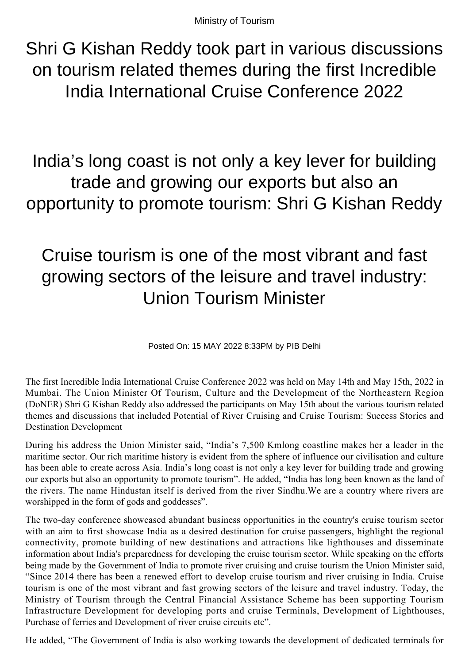Ministry of Tourism

Shri G Kishan Reddy took part in various discussions on tourism related themes during the first Incredible India International Cruise Conference 2022

India's long coast is not only a key lever for building trade and growing our exports but also an opportunity to promote tourism: Shri G Kishan Reddy

## Cruise tourism is one of the most vibrant and fast growing sectors of the leisure and travel industry: Union Tourism Minister

Posted On: 15 MAY 2022 8:33PM by PIB Delhi

The first Incredible India International Cruise Conference 2022 was held on May 14th and May 15th, 2022 in Mumbai. The Union Minister Of Tourism, Culture and the Development of the Northeastern Region (DoNER) Shri G Kishan Reddy also addressed the participants on May 15th about the various tourism related themes and discussions that included Potential of River Cruising and Cruise Tourism: Success Stories and Destination Development

During his address the Union Minister said, "India's 7,500 Kmlong coastline makes her a leader in the maritime sector. Our rich maritime history is evident from the sphere of influence our civilisation and culture has been able to create across Asia. India's long coast is not only a key lever for building trade and growing our exports but also an opportunity to promote tourism". He added, "India has long been known as the land of the rivers. The name Hindustan itself is derived from the river Sindhu.We are a country where rivers are worshipped in the form of gods and goddesses".

The two-day conference showcased abundant business opportunities in the country's cruise tourism sector with an aim to first showcase India as a desired destination for cruise passengers, highlight the regional connectivity, promote building of new destinations and attractions like lighthouses and disseminate information about India's preparedness for developing the cruise tourism sector. While speaking on the efforts being made by the Government of India to promote river cruising and cruise tourism the Union Minister said, "Since 2014 there has been a renewed effort to develop cruise tourism and river cruising in India. Cruise tourism is one of the most vibrant and fast growing sectors of the leisure and travel industry. Today, the Ministry of Tourism through the Central Financial Assistance Scheme has been supporting Tourism Infrastructure Development for developing ports and cruise Terminals, Development of Lighthouses, Purchase of ferries and Development of river cruise circuits etc".

He added, "The Government of India is also working towards the development of dedicated terminals for